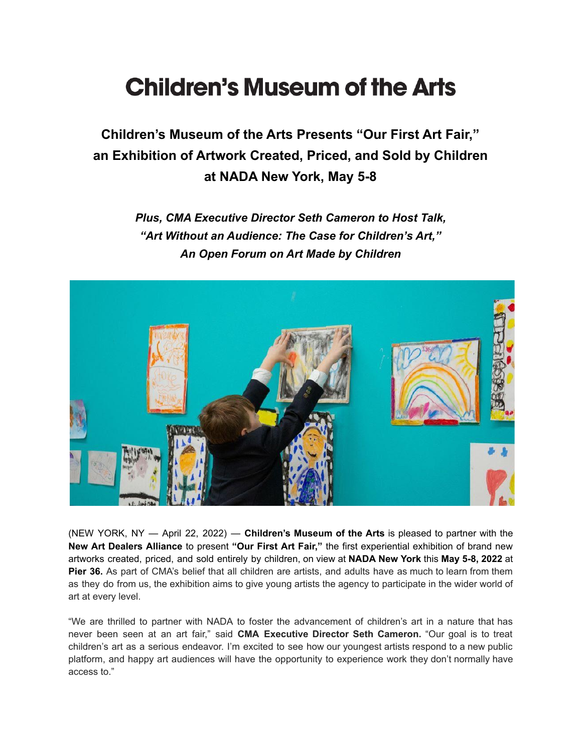## **Children's Museum of the Arts**

**Children's Museum of the Arts Presents "Our First Art Fair," an Exhibition of Artwork Created, Priced, and Sold by Children at NADA New York, May 5-8**

> *Plus, CMA Executive Director Seth Cameron to Host Talk, "Art Without an Audience: The Case for Children's Art," An Open Forum on Art Made by Children*



(NEW YORK, NY — April 22, 2022) — **Children's Museum of the Arts** is pleased to partner with the **New Art Dealers Alliance** to present **"Our First Art Fair,"** the first experiential exhibition of brand new artworks created, priced, and sold entirely by children, on view at **NADA New York** this **May 5-8, 2022** at **Pier 36.** As part of CMA's belief that all children are artists, and adults have as much to learn from them as they do from us, the exhibition aims to give young artists the agency to participate in the wider world of art at every level.

"We are thrilled to partner with NADA to foster the advancement of children's art in a nature that has never been seen at an art fair," said **CMA Executive Director Seth Cameron.** "Our goal is to treat children's art as a serious endeavor. I'm excited to see how our youngest artists respond to a new public platform, and happy art audiences will have the opportunity to experience work they don't normally have access to."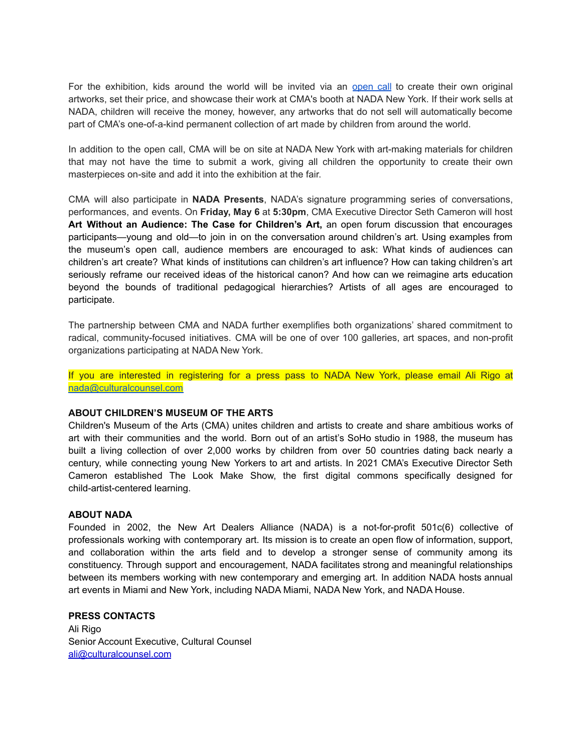For the exhibition, kids around the world will be invited via an [open](https://docs.google.com/forms/d/e/1FAIpQLSei6h30USYhz-jOz4neTddQwagzRrlxGOrCW_zT5-LscT2OKQ/viewform) call to create their own original artworks, set their price, and showcase their work at CMA's booth at NADA New York. If their work sells at NADA, children will receive the money, however, any artworks that do not sell will automatically become part of CMA's one-of-a-kind permanent collection of art made by children from around the world.

In addition to the open call, CMA will be on site at NADA New York with art-making materials for children that may not have the time to submit a work, giving all children the opportunity to create their own masterpieces on-site and add it into the exhibition at the fair.

CMA will also participate in **NADA Presents**, NADA's signature programming series of conversations, performances, and events. On **Friday, May 6** at **5:30pm**, CMA Executive Director Seth Cameron will host **Art Without an Audience: The Case for Children's Art,** an open forum discussion that encourages participants—young and old—to join in on the conversation around children's art. Using examples from the museum's open call, audience members are encouraged to ask: What kinds of audiences can children's art create? What kinds of institutions can children's art influence? How can taking children's art seriously reframe our received ideas of the historical canon? And how can we reimagine arts education beyond the bounds of traditional pedagogical hierarchies? Artists of all ages are encouraged to participate.

The partnership between CMA and NADA further exemplifies both organizations' shared commitment to radical, community-focused initiatives. CMA will be one of over 100 galleries, art spaces, and non-profit organizations participating at NADA New York.

If you are interested in registering for a press pass to NADA New York, please email Ali Rigo at [nada@culturalcounsel.com](mailto:nada@culturalcounsel.com)

## **ABOUT CHILDREN'S MUSEUM OF THE ARTS**

Children's Museum of the Arts (CMA) unites children and artists to create and share ambitious works of art with their communities and the world. Born out of an artist's SoHo studio in 1988, the museum has built a living collection of over 2,000 works by children from over 50 countries dating back nearly a century, while connecting young New Yorkers to art and artists. In 2021 CMA's Executive Director Seth Cameron established The Look Make Show, the first digital commons specifically designed for child-artist-centered learning.

## **ABOUT NADA**

Founded in 2002, the New Art Dealers Alliance (NADA) is a not-for-profit 501c(6) collective of professionals working with contemporary art. Its mission is to create an open flow of information, support, and collaboration within the arts field and to develop a stronger sense of community among its constituency. Through support and encouragement, NADA facilitates strong and meaningful relationships between its members working with new contemporary and emerging art. In addition NADA hosts annual art events in Miami and New York, including NADA Miami, NADA New York, and NADA House.

## **PRESS CONTACTS**

Ali Rigo Senior Account Executive, Cultural Counsel ali@culturalcounsel.com